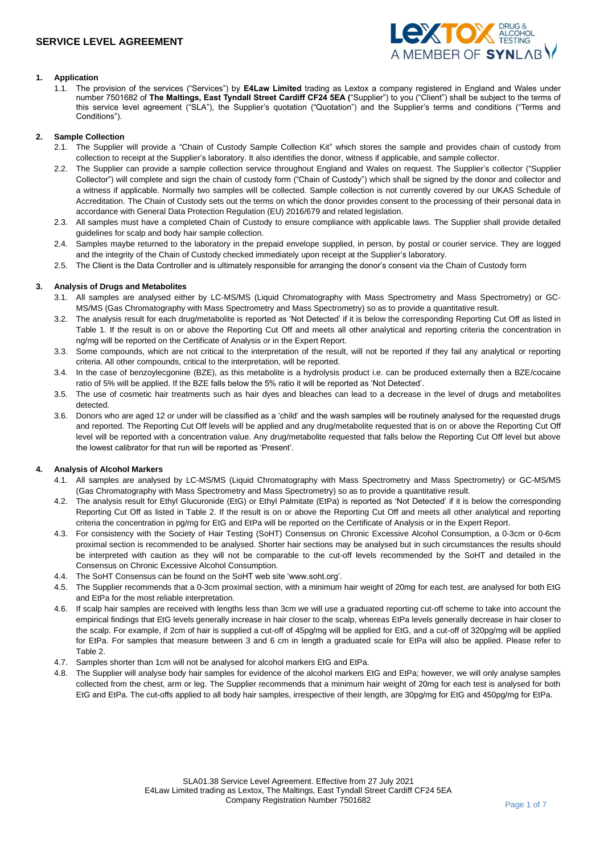

## **1. Application**

1.1. The provision of the services ("Services") by **E4Law Limited** trading as Lextox a company registered in England and Wales under number 7501682 of **The Maltings, East Tyndall Street Cardiff CF24 5EA (**"Supplier") to you ("Client") shall be subject to the terms of this service level agreement ("SLA"), the Supplier's quotation ("Quotation") and the Supplier's terms and conditions ("Terms and Conditions").

#### **2. Sample Collection**

- 2.1. The Supplier will provide a "Chain of Custody Sample Collection Kit" which stores the sample and provides chain of custody from collection to receipt at the Supplier's laboratory. It also identifies the donor, witness if applicable, and sample collector.
- 2.2. The Supplier can provide a sample collection service throughout England and Wales on request. The Supplier's collector ("Supplier Collector") will complete and sign the chain of custody form ("Chain of Custody") which shall be signed by the donor and collector and a witness if applicable. Normally two samples will be collected. Sample collection is not currently covered by our UKAS Schedule of Accreditation. The Chain of Custody sets out the terms on which the donor provides consent to the processing of their personal data in accordance with General Data Protection Regulation (EU) 2016/679 and related legislation.
- 2.3. All samples must have a completed Chain of Custody to ensure compliance with applicable laws. The Supplier shall provide detailed guidelines for scalp and body hair sample collection.
- 2.4. Samples maybe returned to the laboratory in the prepaid envelope supplied, in person, by postal or courier service. They are logged and the integrity of the Chain of Custody checked immediately upon receipt at the Supplier's laboratory.
- 2.5. The Client is the Data Controller and is ultimately responsible for arranging the donor's consent via the Chain of Custody form

#### **3. Analysis of Drugs and Metabolites**

- 3.1. All samples are analysed either by LC-MS/MS (Liquid Chromatography with Mass Spectrometry and Mass Spectrometry) or GC-MS/MS (Gas Chromatography with Mass Spectrometry and Mass Spectrometry) so as to provide a quantitative result.
- 3.2. The analysis result for each drug/metabolite is reported as 'Not Detected' if it is below the corresponding Reporting Cut Off as listed in Table 1. If the result is on or above the Reporting Cut Off and meets all other analytical and reporting criteria the concentration in ng/mg will be reported on the Certificate of Analysis or in the Expert Report.
- 3.3. Some compounds, which are not critical to the interpretation of the result, will not be reported if they fail any analytical or reporting criteria. All other compounds, critical to the interpretation, will be reported.
- 3.4. In the case of benzoylecgonine (BZE), as this metabolite is a hydrolysis product i.e. can be produced externally then a BZE/cocaine ratio of 5% will be applied. If the BZE falls below the 5% ratio it will be reported as 'Not Detected'.
- 3.5. The use of cosmetic hair treatments such as hair dyes and bleaches can lead to a decrease in the level of drugs and metabolites detected.
- 3.6. Donors who are aged 12 or under will be classified as a 'child' and the wash samples will be routinely analysed for the requested drugs and reported. The Reporting Cut Off levels will be applied and any drug/metabolite requested that is on or above the Reporting Cut Off level will be reported with a concentration value. Any drug/metabolite requested that falls below the Reporting Cut Off level but above the lowest calibrator for that run will be reported as 'Present'.

#### **4. Analysis of Alcohol Markers**

- 4.1. All samples are analysed by LC-MS/MS (Liquid Chromatography with Mass Spectrometry and Mass Spectrometry) or GC-MS/MS (Gas Chromatography with Mass Spectrometry and Mass Spectrometry) so as to provide a quantitative result.
- 4.2. The analysis result for Ethyl Glucuronide (EtG) or Ethyl Palmitate (EtPa) is reported as 'Not Detected' if it is below the corresponding Reporting Cut Off as listed in Table 2. If the result is on or above the Reporting Cut Off and meets all other analytical and reporting criteria the concentration in pg/mg for EtG and EtPa will be reported on the Certificate of Analysis or in the Expert Report.
- 4.3. For consistency with the Society of Hair Testing (SoHT) Consensus on Chronic Excessive Alcohol Consumption, a 0-3cm or 0-6cm proximal section is recommended to be analysed. Shorter hair sections may be analysed but in such circumstances the results should be interpreted with caution as they will not be comparable to the cut-off levels recommended by the SoHT and detailed in the Consensus on Chronic Excessive Alcohol Consumption.
- 4.4. The SoHT Consensus can be found on the SoHT web site 'www.soht.org'.
- 4.5. The Supplier recommends that a 0-3cm proximal section, with a minimum hair weight of 20mg for each test, are analysed for both EtG and EtPa for the most reliable interpretation.
- 4.6. If scalp hair samples are received with lengths less than 3cm we will use a graduated reporting cut-off scheme to take into account the empirical findings that EtG levels generally increase in hair closer to the scalp, whereas EtPa levels generally decrease in hair closer to the scalp. For example, if 2cm of hair is supplied a cut-off of 45pg/mg will be applied for EtG, and a cut-off of 320pg/mg will be applied for EtPa. For samples that measure between 3 and 6 cm in length a graduated scale for EtPa will also be applied. Please refer to Table 2.
- 4.7. Samples shorter than 1cm will not be analysed for alcohol markers EtG and EtPa.
- 4.8. The Supplier will analyse body hair samples for evidence of the alcohol markers EtG and EtPa; however, we will only analyse samples collected from the chest, arm or leg. The Supplier recommends that a minimum hair weight of 20mg for each test is analysed for both EtG and EtPa. The cut-offs applied to all body hair samples, irrespective of their length, are 30pg/mg for EtG and 450pg/mg for EtPa.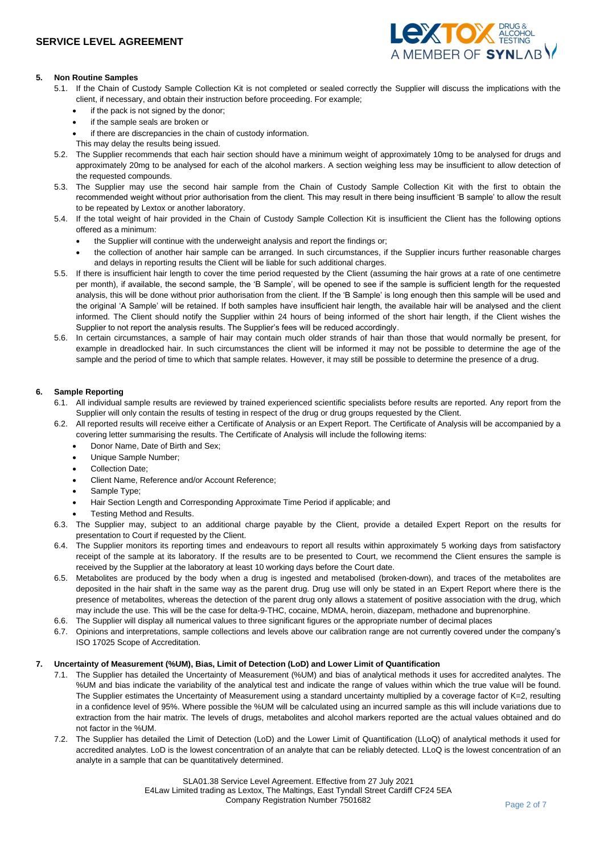

## **5. Non Routine Samples**

- 5.1. If the Chain of Custody Sample Collection Kit is not completed or sealed correctly the Supplier will discuss the implications with the client, if necessary, and obtain their instruction before proceeding. For example;
	- if the pack is not signed by the donor;
	- if the sample seals are broken or
	- if there are discrepancies in the chain of custody information.
	- This may delay the results being issued.
- 5.2. The Supplier recommends that each hair section should have a minimum weight of approximately 10mg to be analysed for drugs and approximately 20mg to be analysed for each of the alcohol markers. A section weighing less may be insufficient to allow detection of the requested compounds.
- 5.3. The Supplier may use the second hair sample from the Chain of Custody Sample Collection Kit with the first to obtain the recommended weight without prior authorisation from the client. This may result in there being insufficient 'B sample' to allow the result to be repeated by Lextox or another laboratory.
- 5.4. If the total weight of hair provided in the Chain of Custody Sample Collection Kit is insufficient the Client has the following options offered as a minimum:
	- the Supplier will continue with the underweight analysis and report the findings or;
	- the collection of another hair sample can be arranged. In such circumstances, if the Supplier incurs further reasonable charges and delays in reporting results the Client will be liable for such additional charges.
- 5.5. If there is insufficient hair length to cover the time period requested by the Client (assuming the hair grows at a rate of one centimetre per month), if available, the second sample, the 'B Sample', will be opened to see if the sample is sufficient length for the requested analysis, this will be done without prior authorisation from the client. If the 'B Sample' is long enough then this sample will be used and the original 'A Sample' will be retained. If both samples have insufficient hair length, the available hair will be analysed and the client informed. The Client should notify the Supplier within 24 hours of being informed of the short hair length, if the Client wishes the Supplier to not report the analysis results. The Supplier's fees will be reduced accordingly.
- 5.6. In certain circumstances, a sample of hair may contain much older strands of hair than those that would normally be present, for example in dreadlocked hair. In such circumstances the client will be informed it may not be possible to determine the age of the sample and the period of time to which that sample relates. However, it may still be possible to determine the presence of a drug.

### **6. Sample Reporting**

- 6.1. All individual sample results are reviewed by trained experienced scientific specialists before results are reported. Any report from the Supplier will only contain the results of testing in respect of the drug or drug groups requested by the Client.
- 6.2. All reported results will receive either a Certificate of Analysis or an Expert Report. The Certificate of Analysis will be accompanied by a covering letter summarising the results. The Certificate of Analysis will include the following items:
	- Donor Name, Date of Birth and Sex;
	- Unique Sample Number;
	- Collection Date;
	- Client Name, Reference and/or Account Reference;
	- Sample Type;
	- Hair Section Length and Corresponding Approximate Time Period if applicable; and
	- Testing Method and Results.
- 6.3. The Supplier may, subject to an additional charge payable by the Client, provide a detailed Expert Report on the results for presentation to Court if requested by the Client.
- 6.4. The Supplier monitors its reporting times and endeavours to report all results within approximately 5 working days from satisfactory receipt of the sample at its laboratory. If the results are to be presented to Court, we recommend the Client ensures the sample is received by the Supplier at the laboratory at least 10 working days before the Court date.
- 6.5. Metabolites are produced by the body when a drug is ingested and metabolised (broken-down), and traces of the metabolites are deposited in the hair shaft in the same way as the parent drug. Drug use will only be stated in an Expert Report where there is the presence of metabolites, whereas the detection of the parent drug only allows a statement of positive association with the drug, which may include the use. This will be the case for delta-9-THC, cocaine, MDMA, heroin, diazepam, methadone and buprenorphine.
- 6.6. The Supplier will display all numerical values to three significant figures or the appropriate number of decimal places
- 6.7. Opinions and interpretations, sample collections and levels above our calibration range are not currently covered under the company's ISO 17025 Scope of Accreditation.

## **7. Uncertainty of Measurement (%UM), Bias, Limit of Detection (LoD) and Lower Limit of Quantification**

- 7.1. The Supplier has detailed the Uncertainty of Measurement (%UM) and bias of analytical methods it uses for accredited analytes. The %UM and bias indicate the variability of the analytical test and indicate the range of values within which the true value will be found. The Supplier estimates the Uncertainty of Measurement using a standard uncertainty multiplied by a coverage factor of  $K=2$ , resulting in a confidence level of 95%. Where possible the %UM will be calculated using an incurred sample as this will include variations due to extraction from the hair matrix. The levels of drugs, metabolites and alcohol markers reported are the actual values obtained and do not factor in the %UM.
- 7.2. The Supplier has detailed the Limit of Detection (LoD) and the Lower Limit of Quantification (LLoQ) of analytical methods it used for accredited analytes. LoD is the lowest concentration of an analyte that can be reliably detected. LLoQ is the lowest concentration of an analyte in a sample that can be quantitatively determined.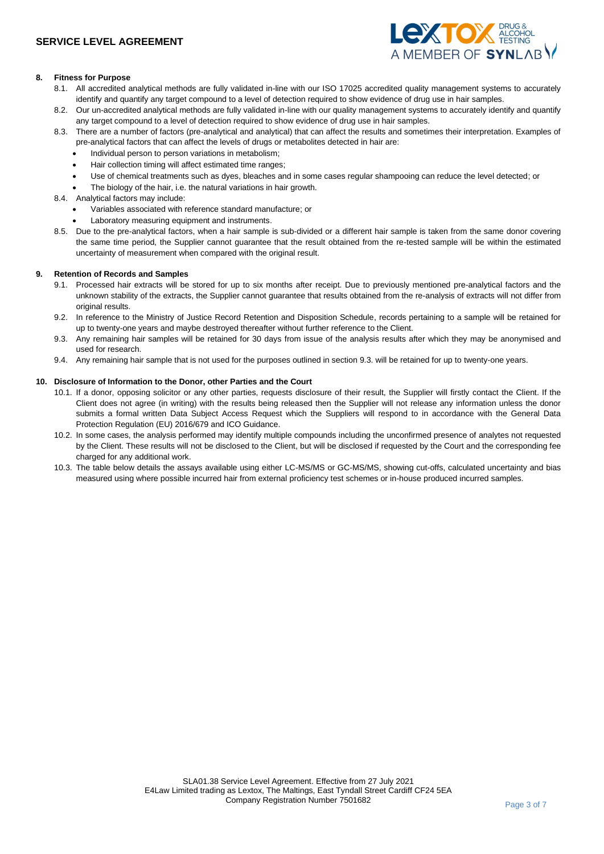

## **8. Fitness for Purpose**

- 8.1. All accredited analytical methods are fully validated in-line with our ISO 17025 accredited quality management systems to accurately identify and quantify any target compound to a level of detection required to show evidence of drug use in hair samples.
- 8.2. Our un-accredited analytical methods are fully validated in-line with our quality management systems to accurately identify and quantify any target compound to a level of detection required to show evidence of drug use in hair samples.
- 8.3. There are a number of factors (pre-analytical and analytical) that can affect the results and sometimes their interpretation. Examples of pre-analytical factors that can affect the levels of drugs or metabolites detected in hair are:
	- Individual person to person variations in metabolism;
	- Hair collection timing will affect estimated time ranges;
	- Use of chemical treatments such as dyes, bleaches and in some cases regular shampooing can reduce the level detected; or
	- The biology of the hair, i.e. the natural variations in hair growth.
- 8.4. Analytical factors may include:
	- Variables associated with reference standard manufacture; or
	- Laboratory measuring equipment and instruments.
- 8.5. Due to the pre-analytical factors, when a hair sample is sub-divided or a different hair sample is taken from the same donor covering the same time period, the Supplier cannot guarantee that the result obtained from the re-tested sample will be within the estimated uncertainty of measurement when compared with the original result.

### **9. Retention of Records and Samples**

- 9.1. Processed hair extracts will be stored for up to six months after receipt. Due to previously mentioned pre-analytical factors and the unknown stability of the extracts, the Supplier cannot guarantee that results obtained from the re-analysis of extracts will not differ from original results.
- 9.2. In reference to the Ministry of Justice Record Retention and Disposition Schedule, records pertaining to a sample will be retained for up to twenty-one years and maybe destroyed thereafter without further reference to the Client.
- 9.3. Any remaining hair samples will be retained for 30 days from issue of the analysis results after which they may be anonymised and used for research.
- 9.4. Any remaining hair sample that is not used for the purposes outlined in section 9.3. will be retained for up to twenty-one years.

### **10. Disclosure of Information to the Donor, other Parties and the Court**

- 10.1. If a donor, opposing solicitor or any other parties, requests disclosure of their result, the Supplier will firstly contact the Client. If the Client does not agree (in writing) with the results being released then the Supplier will not release any information unless the donor submits a formal written Data Subject Access Request which the Suppliers will respond to in accordance with the General Data Protection Regulation (EU) 2016/679 and ICO Guidance.
- 10.2. In some cases, the analysis performed may identify multiple compounds including the unconfirmed presence of analytes not requested by the Client. These results will not be disclosed to the Client, but will be disclosed if requested by the Court and the corresponding fee charged for any additional work.
- 10.3. The table below details the assays available using either LC-MS/MS or GC-MS/MS, showing cut-offs, calculated uncertainty and bias measured using where possible incurred hair from external proficiency test schemes or in-house produced incurred samples.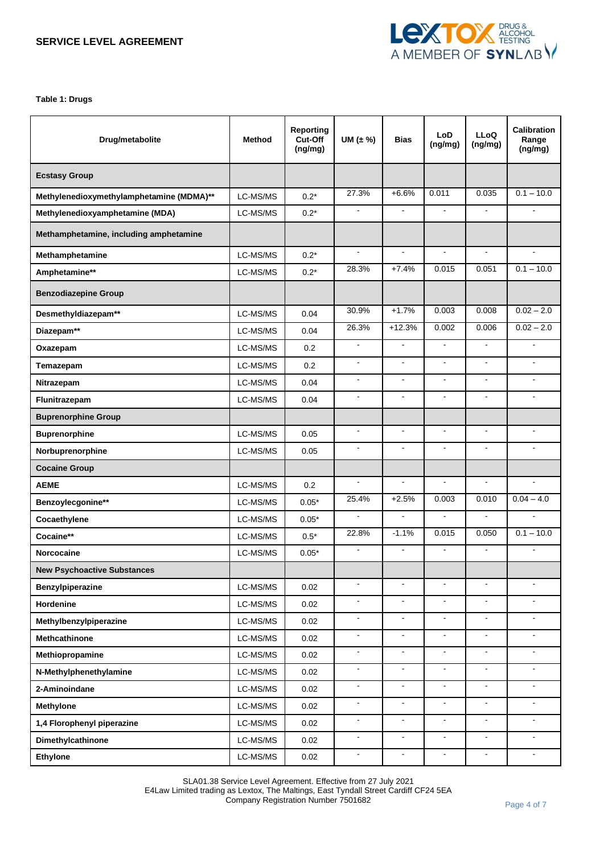

**Table 1: Drugs**

| Drug/metabolite                          | <b>Method</b> | <b>Reporting</b><br>Cut-Off<br>(ng/mg) | UM $(\pm \%)$  | Bias           | LoD<br>(ng/mg)      | <b>LLoQ</b><br>(ng/mg) | <b>Calibration</b><br>Range<br>(ng/mg) |
|------------------------------------------|---------------|----------------------------------------|----------------|----------------|---------------------|------------------------|----------------------------------------|
| <b>Ecstasy Group</b>                     |               |                                        |                |                |                     |                        |                                        |
| Methylenedioxymethylamphetamine (MDMA)** | LC-MS/MS      | $0.2*$                                 | 27.3%          | $+6.6%$        | 0.011               | 0.035                  | $0.1 - 10.0$                           |
| Methylenedioxyamphetamine (MDA)          | LC-MS/MS      | $0.2*$                                 | $\mathbf{r}$   | $\blacksquare$ | $\blacksquare$      | $\blacksquare$         |                                        |
| Methamphetamine, including amphetamine   |               |                                        |                |                |                     |                        |                                        |
| Methamphetamine                          | LC-MS/MS      | $0.2*$                                 | $\blacksquare$ | $\blacksquare$ | $\blacksquare$      | $\blacksquare$         | $\blacksquare$                         |
| Amphetamine**                            | LC-MS/MS      | $0.2*$                                 | 28.3%          | $+7.4%$        | 0.015               | 0.051                  | $0.1 - 10.0$                           |
| <b>Benzodiazepine Group</b>              |               |                                        |                |                |                     |                        |                                        |
| Desmethyldiazepam**                      | LC-MS/MS      | 0.04                                   | 30.9%          | $+1.7%$        | 0.003               | 0.008                  | $0.02 - 2.0$                           |
| Diazepam**                               | LC-MS/MS      | 0.04                                   | 26.3%          | $+12.3%$       | 0.002               | 0.006                  | $0.02 - 2.0$                           |
| Oxazepam                                 | LC-MS/MS      | 0.2                                    | $\blacksquare$ | $\blacksquare$ | $\blacksquare$      | ÷.                     |                                        |
| Temazepam                                | LC-MS/MS      | 0.2                                    | $\blacksquare$ | $\overline{a}$ | $\blacksquare$      | ÷.                     | $\blacksquare$                         |
| Nitrazepam                               | LC-MS/MS      | 0.04                                   | $\blacksquare$ | $\blacksquare$ | $\blacksquare$      | ۰                      | $\blacksquare$                         |
| Flunitrazepam                            | LC-MS/MS      | 0.04                                   | $\blacksquare$ | $\blacksquare$ | $\mathbf{r}$        | ۰                      | $\blacksquare$                         |
| <b>Buprenorphine Group</b>               |               |                                        |                |                |                     |                        |                                        |
| <b>Buprenorphine</b>                     | LC-MS/MS      | 0.05                                   | $\blacksquare$ | $\blacksquare$ | $\blacksquare$      | $\blacksquare$         | $\blacksquare$                         |
| Norbuprenorphine                         | LC-MS/MS      | 0.05                                   | $\blacksquare$ | $\blacksquare$ | $\mathbf{r}$        | $\sim$                 | $\mathbf{r}$                           |
| <b>Cocaine Group</b>                     |               |                                        |                |                |                     |                        |                                        |
| <b>AEME</b>                              | LC-MS/MS      | 0.2                                    | $\blacksquare$ | $\blacksquare$ | $\blacksquare$      | ÷.                     | $\mathbf{r}$                           |
| Benzoylecgonine**                        | LC-MS/MS      | $0.05*$                                | 25.4%          | $+2.5%$        | 0.003               | 0.010                  | $0.04 - 4.0$                           |
| Cocaethylene                             | LC-MS/MS      | $0.05*$                                | $\blacksquare$ | $\blacksquare$ | $\blacksquare$      | ä,                     |                                        |
| Cocaine**                                | LC-MS/MS      | $0.5*$                                 | 22.8%          | $-1.1%$        | 0.015               | 0.050                  | $0.1 - 10.0$                           |
| Norcocaine                               | LC-MS/MS      | $0.05*$                                | $\blacksquare$ | $\blacksquare$ | $\blacksquare$      | $\blacksquare$         | $\blacksquare$                         |
| <b>New Psychoactive Substances</b>       |               |                                        |                |                |                     |                        |                                        |
| <b>Benzylpiperazine</b>                  | LC-MS/MS      | 0.02                                   | $\overline{a}$ | L.             | $\bar{\phantom{a}}$ | ä,                     |                                        |
| Hordenine                                | LC-MS/MS      | 0.02                                   | $\blacksquare$ | $\blacksquare$ | $\blacksquare$      | $\blacksquare$         |                                        |
| Methylbenzylpiperazine                   | LC-MS/MS      | 0.02                                   | $\blacksquare$ | $\blacksquare$ | $\blacksquare$      | $\blacksquare$         | $\blacksquare$                         |
| Methcathinone                            | LC-MS/MS      | 0.02                                   | $\blacksquare$ | $\blacksquare$ | $\blacksquare$      | ÷,                     | $\blacksquare$                         |
| Methiopropamine                          | LC-MS/MS      | 0.02                                   | $\blacksquare$ | $\blacksquare$ | $\blacksquare$      | $\blacksquare$         | $\blacksquare$                         |
| N-Methylphenethylamine                   | LC-MS/MS      | 0.02                                   | $\blacksquare$ | $\blacksquare$ | $\blacksquare$      | ÷.                     | $\mathbf{r}$                           |
| 2-Aminoindane                            | LC-MS/MS      | 0.02                                   | $\blacksquare$ | $\blacksquare$ | $\blacksquare$      | ÷,                     | $\blacksquare$                         |
| Methylone                                | LC-MS/MS      | 0.02                                   | $\blacksquare$ | $\blacksquare$ | $\blacksquare$      | $\blacksquare$         | $\blacksquare$                         |
| 1,4 Florophenyl piperazine               | LC-MS/MS      | 0.02                                   | $\blacksquare$ | $\blacksquare$ | $\blacksquare$      | ä,                     | $\blacksquare$                         |
| Dimethylcathinone                        | LC-MS/MS      | 0.02                                   | $\blacksquare$ | $\blacksquare$ | $\blacksquare$      | $\frac{1}{2}$          | $\blacksquare$                         |
| <b>Ethylone</b>                          | LC-MS/MS      | 0.02                                   | $\blacksquare$ | $\blacksquare$ | $\blacksquare$      | $\blacksquare$         | $\blacksquare$                         |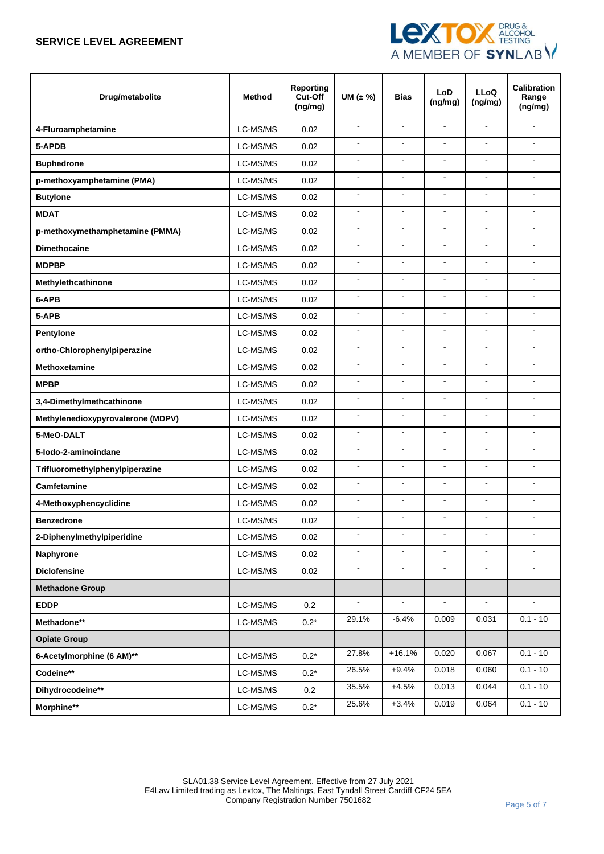

| Drug/metabolite                   | <b>Method</b> | Reporting<br>Cut-Off<br>(ng/mg) | UM $(\pm \%)$  | <b>Bias</b>              | LoD<br>(ng/mg)           | <b>LLoQ</b><br>(ng/mg) | <b>Calibration</b><br>Range<br>(ng/mg) |
|-----------------------------------|---------------|---------------------------------|----------------|--------------------------|--------------------------|------------------------|----------------------------------------|
| 4-Fluroamphetamine                | LC-MS/MS      | 0.02                            | $\mathbf{r}$   | $\mathbf{r}$             | $\blacksquare$           | $\overline{a}$         | ÷.                                     |
| 5-APDB                            | LC-MS/MS      | 0.02                            | $\mathbf{r}$   | $\overline{\phantom{a}}$ | $\overline{\phantom{a}}$ | $\blacksquare$         | $\blacksquare$                         |
| <b>Buphedrone</b>                 | LC-MS/MS      | 0.02                            | $\blacksquare$ | $\overline{\phantom{a}}$ | $\mathbf{r}$             | $\blacksquare$         | ÷.                                     |
| p-methoxyamphetamine (PMA)        | LC-MS/MS      | 0.02                            | $\blacksquare$ | $\blacksquare$           | $\overline{\phantom{a}}$ | $\blacksquare$         | ä,                                     |
| <b>Butylone</b>                   | LC-MS/MS      | 0.02                            | $\blacksquare$ | $\blacksquare$           | $\overline{\phantom{a}}$ | $\blacksquare$         | ۰.                                     |
| <b>MDAT</b>                       | LC-MS/MS      | 0.02                            | $\overline{a}$ | ÷,                       | $\blacksquare$           | ä,                     |                                        |
| p-methoxymethamphetamine (PMMA)   | LC-MS/MS      | 0.02                            | $\mathbf{r}$   | $\overline{\phantom{a}}$ | $\mathbf{r}$             | $\blacksquare$         | $\blacksquare$                         |
| <b>Dimethocaine</b>               | LC-MS/MS      | 0.02                            | $\blacksquare$ | $\overline{\phantom{a}}$ | $\blacksquare$           | $\blacksquare$         | $\blacksquare$                         |
| <b>MDPBP</b>                      | LC-MS/MS      | 0.02                            | $\blacksquare$ | $\overline{a}$           | $\blacksquare$           | $\overline{a}$         | $\blacksquare$                         |
| Methylethcathinone                | LC-MS/MS      | 0.02                            | $\blacksquare$ | $\blacksquare$           | $\blacksquare$           | $\overline{a}$         | ä,                                     |
| 6-APB                             | LC-MS/MS      | 0.02                            | $\blacksquare$ | $\blacksquare$           | $\overline{\phantom{a}}$ | $\blacksquare$         | $\blacksquare$                         |
| 5-APB                             | LC-MS/MS      | 0.02                            | $\blacksquare$ | ÷,                       | $\overline{a}$           | ä,                     | ä,                                     |
| Pentylone                         | LC-MS/MS      | 0.02                            | $\blacksquare$ | $\overline{\phantom{a}}$ | $\blacksquare$           | $\blacksquare$         | $\blacksquare$                         |
| ortho-Chlorophenylpiperazine      | LC-MS/MS      | 0.02                            | $\blacksquare$ | $\sim$                   | $\blacksquare$           | $\blacksquare$         | $\blacksquare$                         |
| <b>Methoxetamine</b>              | LC-MS/MS      | 0.02                            | $\blacksquare$ | $\overline{\phantom{a}}$ | $\blacksquare$           | $\blacksquare$         | $\blacksquare$                         |
| <b>MPBP</b>                       | LC-MS/MS      | 0.02                            | $\blacksquare$ | $\mathbf{r}$             | $\blacksquare$           | $\mathbf{r}$           | ÷                                      |
| 3,4-Dimethylmethcathinone         | LC-MS/MS      | 0.02                            | $\blacksquare$ | ÷,                       | $\overline{\phantom{a}}$ | $\overline{a}$         | $\blacksquare$                         |
| Methylenedioxypyrovalerone (MDPV) | LC-MS/MS      | 0.02                            | $\blacksquare$ | ÷,                       | $\overline{a}$           | $\blacksquare$         | ÷                                      |
| 5-MeO-DALT                        | LC-MS/MS      | 0.02                            | $\blacksquare$ | $\overline{\phantom{a}}$ | $\overline{\phantom{a}}$ | $\blacksquare$         | $\blacksquare$                         |
| 5-lodo-2-aminoindane              | LC-MS/MS      | 0.02                            | $\blacksquare$ | $\overline{a}$           | $\mathbf{r}$             | $\overline{a}$         | $\overline{a}$                         |
| Trifluoromethylphenylpiperazine   | LC-MS/MS      | 0.02                            | $\blacksquare$ | $\overline{\phantom{a}}$ | $\overline{\phantom{a}}$ | $\blacksquare$         | $\blacksquare$                         |
| Camfetamine                       | LC-MS/MS      | 0.02                            | $\blacksquare$ | $\blacksquare$           | $\overline{\phantom{a}}$ | $\blacksquare$         | ÷.                                     |
| 4-Methoxyphencyclidine            | LC-MS/MS      | 0.02                            | $\blacksquare$ | $\overline{a}$           | $\overline{a}$           | $\overline{a}$         | $\blacksquare$                         |
| <b>Benzedrone</b>                 | LC-MS/MS      | 0.02                            |                | $\overline{a}$           | L.                       |                        |                                        |
| 2-Diphenylmethylpiperidine        | LC-MS/MS      | 0.02                            | $\blacksquare$ |                          | $\blacksquare$           |                        |                                        |
| Naphyrone                         | LC-MS/MS      | 0.02                            | $\blacksquare$ | $\blacksquare$           | $\blacksquare$           | $\blacksquare$         |                                        |
| <b>Diclofensine</b>               | LC-MS/MS      | 0.02                            | $\blacksquare$ | $\blacksquare$           | $\blacksquare$           | $\blacksquare$         | $\blacksquare$                         |
| <b>Methadone Group</b>            |               |                                 |                |                          |                          |                        |                                        |
| <b>EDDP</b>                       | LC-MS/MS      | 0.2                             |                |                          |                          |                        |                                        |
| Methadone**                       | LC-MS/MS      | $0.2*$                          | 29.1%          | $-6.4%$                  | 0.009                    | 0.031                  | $0.1 - 10$                             |
| <b>Opiate Group</b>               |               |                                 |                |                          |                          |                        |                                        |
| 6-Acetylmorphine (6 AM)**         | LC-MS/MS      | $0.2*$                          | 27.8%          | $+16.1%$                 | 0.020                    | 0.067                  | $0.1 - 10$                             |
| Codeine**                         | LC-MS/MS      | $0.2*$                          | 26.5%          | $+9.4%$                  | 0.018                    | 0.060                  | $0.1 - 10$                             |
| Dihydrocodeine**                  | LC-MS/MS      | 0.2                             | 35.5%          | $+4.5%$                  | 0.013                    | 0.044                  | $0.1 - 10$                             |
| Morphine**                        | LC-MS/MS      | $0.2^{\star}$                   | 25.6%          | $+3.4%$                  | 0.019                    | 0.064                  | $0.1 - 10$                             |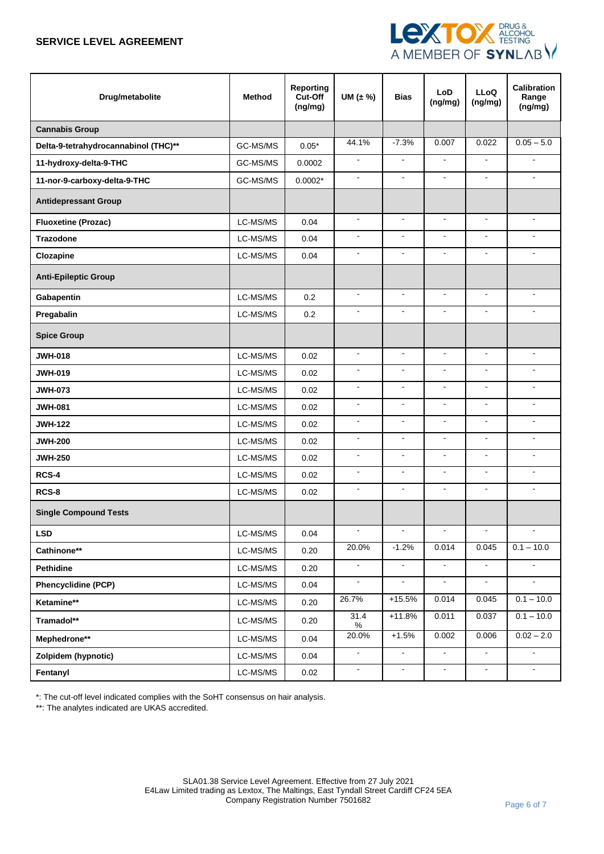

| Drug/metabolite                      | <b>Method</b> | <b>Reporting</b><br>Cut-Off<br>(ng/mg) | UM $(\pm \%)$  | <b>Bias</b>           | <b>LoD</b><br>(ng/mg) | <b>LLoQ</b><br>(ng/mg)       | <b>Calibration</b><br>Range<br>(ng/mg) |
|--------------------------------------|---------------|----------------------------------------|----------------|-----------------------|-----------------------|------------------------------|----------------------------------------|
| <b>Cannabis Group</b>                |               |                                        |                |                       |                       |                              |                                        |
| Delta-9-tetrahydrocannabinol (THC)** | GC-MS/MS      | $0.05*$                                | 44.1%          | $-7.3%$               | 0.007                 | 0.022                        | $0.05 - 5.0$                           |
| 11-hydroxy-delta-9-THC               | GC-MS/MS      | 0.0002                                 | $\blacksquare$ | $\blacksquare$        | $\blacksquare$        | $\blacksquare$               | $\blacksquare$                         |
| 11-nor-9-carboxy-delta-9-THC         | GC-MS/MS      | $0.0002*$                              | $\blacksquare$ | $\overline{a}$        | $\blacksquare$        | $\overline{a}$               | $\sim$                                 |
| <b>Antidepressant Group</b>          |               |                                        |                |                       |                       |                              |                                        |
| <b>Fluoxetine (Prozac)</b>           | LC-MS/MS      | 0.04                                   | $\blacksquare$ | $\sim$                | $\blacksquare$        | $\sim$                       | $\blacksquare$                         |
| <b>Trazodone</b>                     | LC-MS/MS      | 0.04                                   | $\blacksquare$ | $\tilde{\phantom{a}}$ | $\mathbf{r}$          | $\overline{a}$               | ä,                                     |
| Clozapine                            | LC-MS/MS      | 0.04                                   | $\blacksquare$ | $\blacksquare$        | $\blacksquare$        | $\blacksquare$               | $\blacksquare$                         |
| <b>Anti-Epileptic Group</b>          |               |                                        |                |                       |                       |                              |                                        |
| Gabapentin                           | LC-MS/MS      | 0.2                                    | $\blacksquare$ | $\blacksquare$        | $\blacksquare$        | $\blacksquare$               | $\blacksquare$                         |
| Pregabalin                           | LC-MS/MS      | 0.2                                    | $\blacksquare$ | $\sim$                | $\blacksquare$        | $\blacksquare$               | $\blacksquare$                         |
| <b>Spice Group</b>                   |               |                                        |                |                       |                       |                              |                                        |
| <b>JWH-018</b>                       | LC-MS/MS      | 0.02                                   | $\blacksquare$ | $\blacksquare$        | $\blacksquare$        | $\blacksquare$               | $\sim$                                 |
| <b>JWH-019</b>                       | LC-MS/MS      | 0.02                                   | $\blacksquare$ | $\blacksquare$        | $\blacksquare$        | $\blacksquare$               | ٠                                      |
| <b>JWH-073</b>                       | LC-MS/MS      | 0.02                                   | $\blacksquare$ | $\overline{a}$        | $\blacksquare$        | $\blacksquare$               | ÷.                                     |
| <b>JWH-081</b>                       | LC-MS/MS      | 0.02                                   | $\blacksquare$ | $\sim$                | $\mathbf{r}$          | $\sim$                       | $\sim$                                 |
| <b>JWH-122</b>                       | LC-MS/MS      | 0.02                                   | $\blacksquare$ | $\blacksquare$        | $\blacksquare$        | $\blacksquare$               | $\sim$                                 |
| <b>JWH-200</b>                       | LC-MS/MS      | 0.02                                   | $\blacksquare$ | $\overline{a}$        | $\blacksquare$        | $\overline{a}$               | $\sim$                                 |
| <b>JWH-250</b>                       | LC-MS/MS      | 0.02                                   | $\blacksquare$ | $\blacksquare$        | $\blacksquare$        | $\blacksquare$               | ٠                                      |
| RCS-4                                | LC-MS/MS      | 0.02                                   | $\blacksquare$ | $\blacksquare$        | $\blacksquare$        | $\blacksquare$               | ÷.                                     |
| RCS-8                                | LC-MS/MS      | 0.02                                   | $\blacksquare$ | $\blacksquare$        | $\blacksquare$        | $\blacksquare$               | ä,                                     |
| <b>Single Compound Tests</b>         |               |                                        |                |                       |                       |                              |                                        |
| <b>LSD</b>                           | LC-MS/MS      | 0.04                                   | $\blacksquare$ | $\blacksquare$        | $\blacksquare$        | $\qquad \qquad \blacksquare$ | $\blacksquare$                         |
| Cathinone**                          | LC-MS/MS      | 0.20                                   | 20.0%          | $-1.2%$               | 0.014                 | 0.045                        | $0.1 - 10.0$                           |
| Pethidine                            | LC-MS/MS      | 0.20                                   | $\blacksquare$ | $\blacksquare$        | $\blacksquare$        | $\blacksquare$               |                                        |
| <b>Phencyclidine (PCP)</b>           | LC-MS/MS      | 0.04                                   |                | $\blacksquare$        | $\omega$              | $\blacksquare$               | $\mathbf{r}$                           |
| Ketamine**                           | LC-MS/MS      | 0.20                                   | 26.7%          | $+15.5%$              | 0.014                 | 0.045                        | $0.1 - 10.0$                           |
| Tramadol**                           | LC-MS/MS      | 0.20                                   | 31.4<br>$\%$   | $+11.8%$              | 0.011                 | 0.037                        | $0.1 - 10.0$                           |
| Mephedrone**                         | LC-MS/MS      | 0.04                                   | 20.0%          | $+1.5%$               | 0.002                 | 0.006                        | $0.02 - 2.0$                           |
| Zolpidem (hypnotic)                  | LC-MS/MS      | 0.04                                   | $\blacksquare$ | $\blacksquare$        | $\blacksquare$        | $\blacksquare$               | $\blacksquare$                         |
| Fentanyl                             | LC-MS/MS      | 0.02                                   | ۰              | $\blacksquare$        | $\blacksquare$        | $\blacksquare$               | $\blacksquare$                         |

\*: The cut-off level indicated complies with the SoHT consensus on hair analysis.

\*\*: The analytes indicated are UKAS accredited.